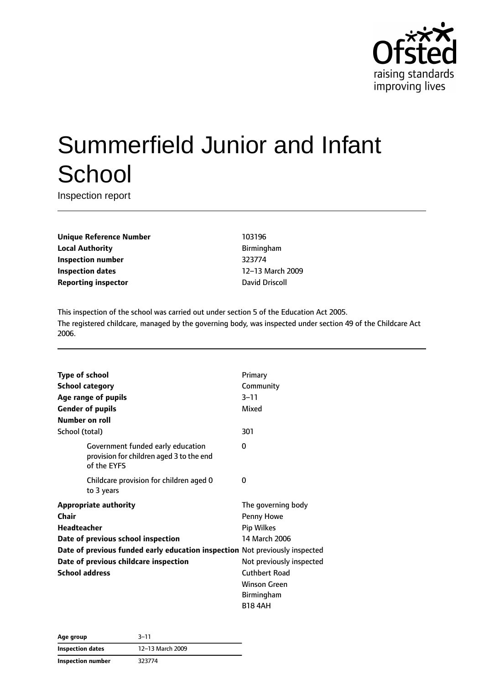

# Summerfield Junior and Infant **School**

Inspection report

**Unique Reference Number** 103196 **Local Authority Birmingham Inspection number** 323774 **Inspection dates** 12–13 March 2009 **Reporting inspector David Driscoll** 

This inspection of the school was carried out under section 5 of the Education Act 2005. The registered childcare, managed by the governing body, was inspected under section 49 of the Childcare Act 2006.

|                                                                             |                                                                                              | Primary                  |
|-----------------------------------------------------------------------------|----------------------------------------------------------------------------------------------|--------------------------|
| <b>Type of school</b>                                                       |                                                                                              |                          |
|                                                                             | <b>School category</b>                                                                       | Community                |
|                                                                             | Age range of pupils                                                                          | $3 - 11$                 |
|                                                                             | <b>Gender of pupils</b>                                                                      | Mixed                    |
| Number on roll                                                              |                                                                                              |                          |
| School (total)                                                              |                                                                                              | 301                      |
|                                                                             | Government funded early education<br>provision for children aged 3 to the end<br>of the EYFS | 0                        |
|                                                                             | Childcare provision for children aged 0<br>to 3 years                                        | 0                        |
|                                                                             | <b>Appropriate authority</b>                                                                 | The governing body       |
| Chair                                                                       |                                                                                              | Penny Howe               |
| <b>Headteacher</b>                                                          |                                                                                              | Pip Wilkes               |
|                                                                             | Date of previous school inspection                                                           | 14 March 2006            |
| Date of previous funded early education inspection Not previously inspected |                                                                                              |                          |
| Date of previous childcare inspection                                       |                                                                                              | Not previously inspected |
| <b>School address</b>                                                       |                                                                                              | <b>Cuthbert Road</b>     |
|                                                                             |                                                                                              | <b>Winson Green</b>      |
|                                                                             |                                                                                              | Birmingham               |
|                                                                             |                                                                                              | <b>B18 4AH</b>           |

| Age group         | $3 - 11$         |  |
|-------------------|------------------|--|
| Inspection dates  | 12-13 March 2009 |  |
| Inspection number | 323774           |  |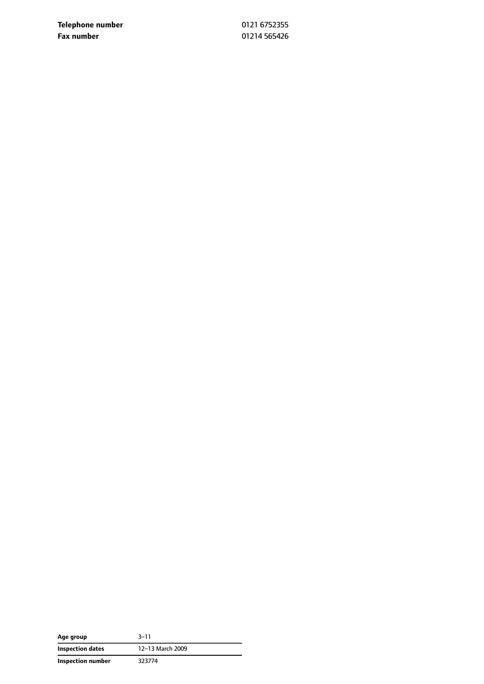**Telephone number** 0121 6752355 **Fax number** 01214 565426

| Age group         | 3–11             |
|-------------------|------------------|
| Inspection dates  | 12-13 March 2009 |
| Inspection number | 323774           |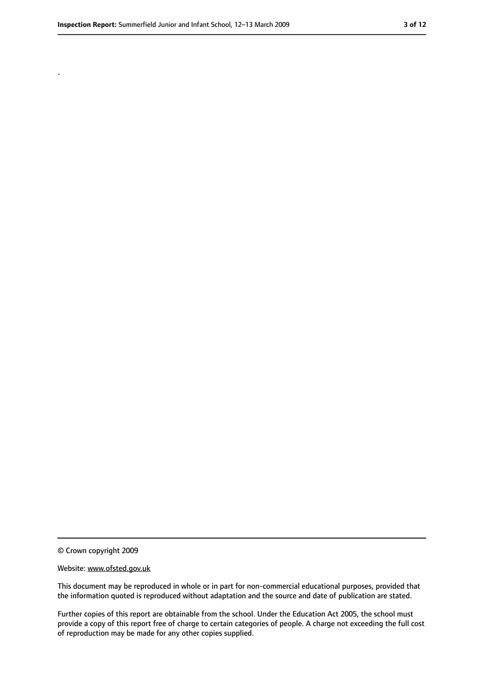.

<sup>©</sup> Crown copyright 2009

Website: www.ofsted.gov.uk

This document may be reproduced in whole or in part for non-commercial educational purposes, provided that the information quoted is reproduced without adaptation and the source and date of publication are stated.

Further copies of this report are obtainable from the school. Under the Education Act 2005, the school must provide a copy of this report free of charge to certain categories of people. A charge not exceeding the full cost of reproduction may be made for any other copies supplied.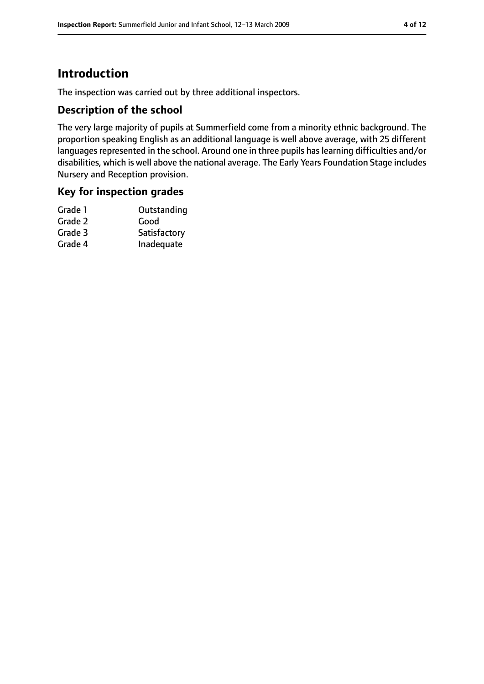# **Introduction**

The inspection was carried out by three additional inspectors.

## **Description of the school**

The very large majority of pupils at Summerfield come from a minority ethnic background. The proportion speaking English as an additional language is well above average, with 25 different languages represented in the school. Around one in three pupils has learning difficulties and/or disabilities, which is well above the national average. The Early Years Foundation Stage includes Nursery and Reception provision.

## **Key for inspection grades**

| Outstanding  |
|--------------|
| Good         |
| Satisfactory |
| Inadequate   |
|              |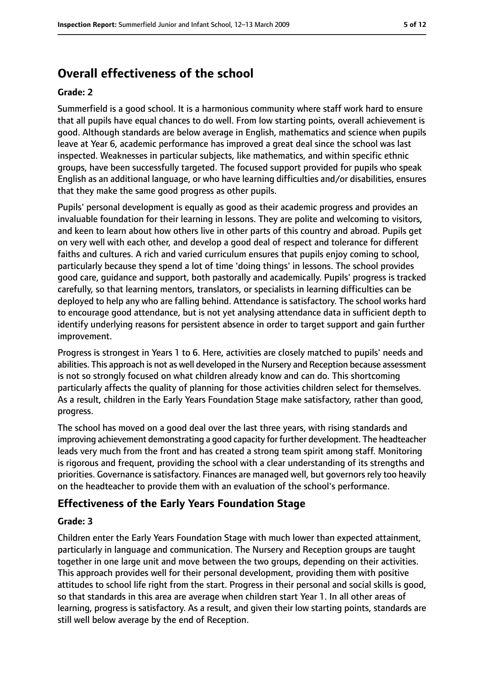# **Overall effectiveness of the school**

#### **Grade: 2**

Summerfield is a good school. It is a harmonious community where staff work hard to ensure that all pupils have equal chances to do well. From low starting points, overall achievement is good. Although standards are below average in English, mathematics and science when pupils leave at Year 6, academic performance has improved a great deal since the school was last inspected. Weaknesses in particular subjects, like mathematics, and within specific ethnic groups, have been successfully targeted. The focused support provided for pupils who speak English as an additional language, or who have learning difficulties and/or disabilities, ensures that they make the same good progress as other pupils.

Pupils' personal development is equally as good as their academic progress and provides an invaluable foundation for their learning in lessons. They are polite and welcoming to visitors, and keen to learn about how others live in other parts of this country and abroad. Pupils get on very well with each other, and develop a good deal of respect and tolerance for different faiths and cultures. A rich and varied curriculum ensures that pupils enjoy coming to school, particularly because they spend a lot of time 'doing things' in lessons. The school provides good care, guidance and support, both pastorally and academically. Pupils' progress is tracked carefully, so that learning mentors, translators, or specialists in learning difficulties can be deployed to help any who are falling behind. Attendance is satisfactory. The school works hard to encourage good attendance, but is not yet analysing attendance data in sufficient depth to identify underlying reasons for persistent absence in order to target support and gain further improvement.

Progress is strongest in Years 1 to 6. Here, activities are closely matched to pupils' needs and abilities. This approach is not as well developed in the Nursery and Reception because assessment is not so strongly focused on what children already know and can do. This shortcoming particularly affects the quality of planning for those activities children select for themselves. As a result, children in the Early Years Foundation Stage make satisfactory, rather than good, progress.

The school has moved on a good deal over the last three years, with rising standards and improving achievement demonstrating a good capacity for further development. The headteacher leads very much from the front and has created a strong team spirit among staff. Monitoring is rigorous and frequent, providing the school with a clear understanding of its strengths and priorities. Governance is satisfactory. Finances are managed well, but governors rely too heavily on the headteacher to provide them with an evaluation of the school's performance.

#### **Effectiveness of the Early Years Foundation Stage**

#### **Grade: 3**

Children enter the Early Years Foundation Stage with much lower than expected attainment, particularly in language and communication. The Nursery and Reception groups are taught together in one large unit and move between the two groups, depending on their activities. This approach provides well for their personal development, providing them with positive attitudes to school life right from the start. Progress in their personal and social skills is good, so that standards in this area are average when children start Year 1. In all other areas of learning, progress is satisfactory. As a result, and given their low starting points, standards are still well below average by the end of Reception.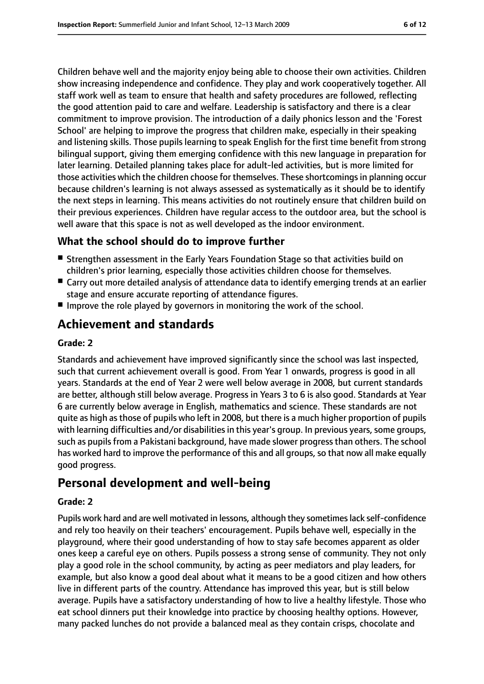Children behave well and the majority enjoy being able to choose their own activities. Children show increasing independence and confidence. They play and work cooperatively together. All staff work well as team to ensure that health and safety procedures are followed, reflecting the good attention paid to care and welfare. Leadership is satisfactory and there is a clear commitment to improve provision. The introduction of a daily phonics lesson and the 'Forest School' are helping to improve the progress that children make, especially in their speaking and listening skills. Those pupils learning to speak English for the first time benefit from strong bilingual support, giving them emerging confidence with this new language in preparation for later learning. Detailed planning takes place for adult-led activities, but is more limited for those activities which the children choose for themselves. These shortcomings in planning occur because children's learning is not always assessed as systematically as it should be to identify the next steps in learning. This means activities do not routinely ensure that children build on their previous experiences. Children have regular access to the outdoor area, but the school is well aware that this space is not as well developed as the indoor environment.

# **What the school should do to improve further**

- Strengthen assessment in the Early Years Foundation Stage so that activities build on children's prior learning, especially those activities children choose for themselves.
- Carry out more detailed analysis of attendance data to identify emerging trends at an earlier stage and ensure accurate reporting of attendance figures.
- Improve the role played by governors in monitoring the work of the school.

# **Achievement and standards**

#### **Grade: 2**

Standards and achievement have improved significantly since the school was last inspected, such that current achievement overall is good. From Year 1 onwards, progress is good in all years. Standards at the end of Year 2 were well below average in 2008, but current standards are better, although still below average. Progress in Years 3 to 6 is also good. Standards at Year 6 are currently below average in English, mathematics and science. These standards are not quite as high asthose of pupils who left in 2008, but there is a much higher proportion of pupils with learning difficulties and/or disabilities in this year's group. In previous years, some groups, such as pupilsfrom a Pakistani background, have made slower progressthan others. The school has worked hard to improve the performance of this and all groups, so that now all make equally good progress.

# **Personal development and well-being**

#### **Grade: 2**

Pupils work hard and are well motivated in lessons, although they sometimes lack self-confidence and rely too heavily on their teachers' encouragement. Pupils behave well, especially in the playground, where their good understanding of how to stay safe becomes apparent as older ones keep a careful eye on others. Pupils possess a strong sense of community. They not only play a good role in the school community, by acting as peer mediators and play leaders, for example, but also know a good deal about what it means to be a good citizen and how others live in different parts of the country. Attendance has improved this year, but is still below average. Pupils have a satisfactory understanding of how to live a healthy lifestyle. Those who eat school dinners put their knowledge into practice by choosing healthy options. However, many packed lunches do not provide a balanced meal as they contain crisps, chocolate and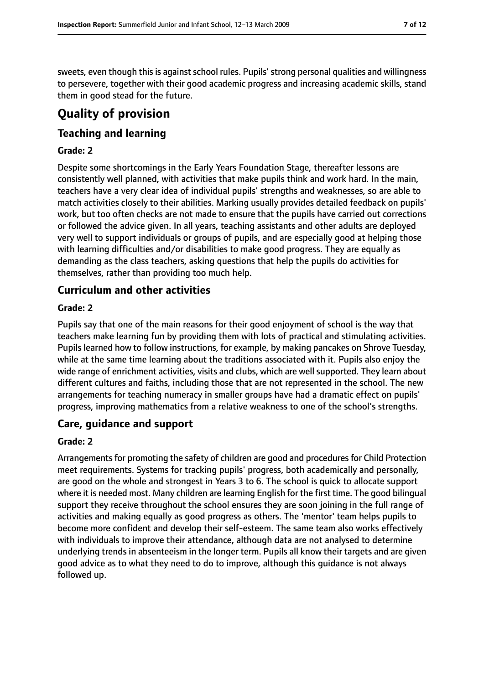sweets, even though this is against school rules. Pupils' strong personal qualities and willingness to persevere, together with their good academic progress and increasing academic skills, stand them in good stead for the future.

# **Quality of provision**

## **Teaching and learning**

#### **Grade: 2**

Despite some shortcomings in the Early Years Foundation Stage, thereafter lessons are consistently well planned, with activities that make pupils think and work hard. In the main, teachers have a very clear idea of individual pupils' strengths and weaknesses, so are able to match activities closely to their abilities. Marking usually provides detailed feedback on pupils' work, but too often checks are not made to ensure that the pupils have carried out corrections or followed the advice given. In all years, teaching assistants and other adults are deployed very well to support individuals or groups of pupils, and are especially good at helping those with learning difficulties and/or disabilities to make good progress. They are equally as demanding as the class teachers, asking questions that help the pupils do activities for themselves, rather than providing too much help.

## **Curriculum and other activities**

#### **Grade: 2**

Pupils say that one of the main reasons for their good enjoyment of school is the way that teachers make learning fun by providing them with lots of practical and stimulating activities. Pupils learned how to follow instructions, for example, by making pancakes on Shrove Tuesday, while at the same time learning about the traditions associated with it. Pupils also enjoy the wide range of enrichment activities, visits and clubs, which are well supported. They learn about different cultures and faiths, including those that are not represented in the school. The new arrangements for teaching numeracy in smaller groups have had a dramatic effect on pupils' progress, improving mathematics from a relative weakness to one of the school's strengths.

#### **Care, guidance and support**

#### **Grade: 2**

Arrangements for promoting the safety of children are good and procedures for Child Protection meet requirements. Systems for tracking pupils' progress, both academically and personally, are good on the whole and strongest in Years 3 to 6. The school is quick to allocate support where it is needed most. Many children are learning English for the first time. The good bilingual support they receive throughout the school ensures they are soon joining in the full range of activities and making equally as good progress as others. The 'mentor' team helps pupils to become more confident and develop their self-esteem. The same team also works effectively with individuals to improve their attendance, although data are not analysed to determine underlying trends in absenteeism in the longer term. Pupils all know their targets and are given good advice as to what they need to do to improve, although this guidance is not always followed up.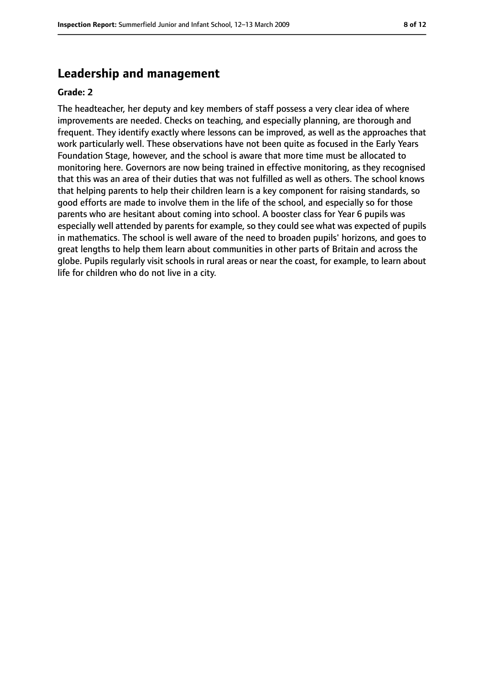# **Leadership and management**

#### **Grade: 2**

The headteacher, her deputy and key members of staff possess a very clear idea of where improvements are needed. Checks on teaching, and especially planning, are thorough and frequent. They identify exactly where lessons can be improved, as well as the approaches that work particularly well. These observations have not been quite as focused in the Early Years Foundation Stage, however, and the school is aware that more time must be allocated to monitoring here. Governors are now being trained in effective monitoring, as they recognised that this was an area of their duties that was not fulfilled as well as others. The school knows that helping parents to help their children learn is a key component for raising standards, so good efforts are made to involve them in the life of the school, and especially so for those parents who are hesitant about coming into school. A booster class for Year 6 pupils was especially well attended by parents for example, so they could see what was expected of pupils in mathematics. The school is well aware of the need to broaden pupils' horizons, and goes to great lengths to help them learn about communities in other parts of Britain and across the globe. Pupils regularly visit schools in rural areas or near the coast, for example, to learn about life for children who do not live in a city.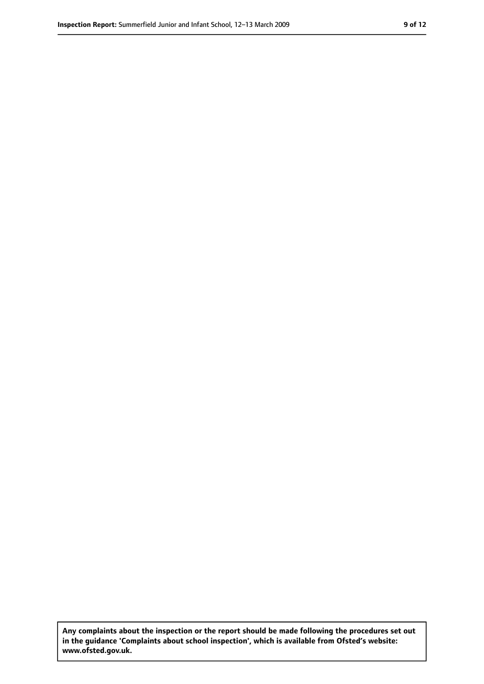**Any complaints about the inspection or the report should be made following the procedures set out in the guidance 'Complaints about school inspection', which is available from Ofsted's website: www.ofsted.gov.uk.**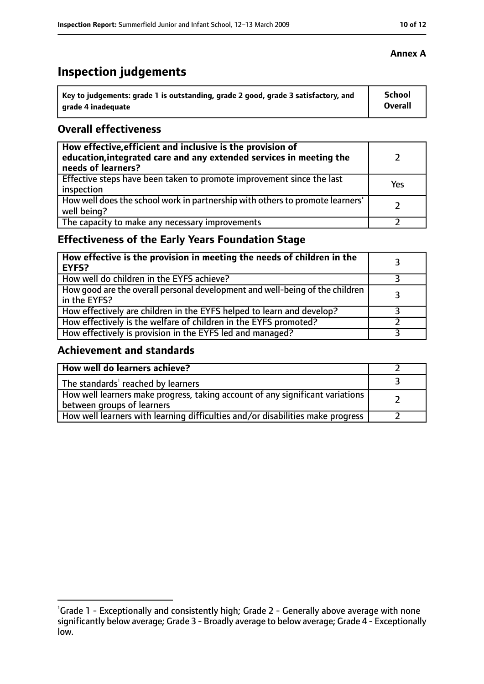# **Inspection judgements**

| Key to judgements: grade 1 is outstanding, grade 2 good, grade 3 satisfactory, and | <b>School</b> |
|------------------------------------------------------------------------------------|---------------|
| arade 4 inadequate                                                                 | Overall       |

## **Overall effectiveness**

| How effective, efficient and inclusive is the provision of<br>education, integrated care and any extended services in meeting the<br>needs of learners? |     |
|---------------------------------------------------------------------------------------------------------------------------------------------------------|-----|
| Effective steps have been taken to promote improvement since the last<br>inspection                                                                     | Yes |
| How well does the school work in partnership with others to promote learners'<br>well being?                                                            |     |
| The capacity to make any necessary improvements                                                                                                         |     |

# **Effectiveness of the Early Years Foundation Stage**

| How effective is the provision in meeting the needs of children in the<br><b>EYFS?</b>       |  |
|----------------------------------------------------------------------------------------------|--|
| How well do children in the EYFS achieve?                                                    |  |
| How good are the overall personal development and well-being of the children<br>in the EYFS? |  |
| How effectively are children in the EYFS helped to learn and develop?                        |  |
| How effectively is the welfare of children in the EYFS promoted?                             |  |
| How effectively is provision in the EYFS led and managed?                                    |  |

## **Achievement and standards**

| How well do learners achieve?                                                                               |  |
|-------------------------------------------------------------------------------------------------------------|--|
| The standards <sup>1</sup> reached by learners                                                              |  |
| How well learners make progress, taking account of any significant variations<br>between groups of learners |  |
| How well learners with learning difficulties and/or disabilities make progress                              |  |

### **Annex A**

<sup>&</sup>lt;sup>1</sup>Grade 1 - Exceptionally and consistently high; Grade 2 - Generally above average with none significantly below average; Grade 3 - Broadly average to below average; Grade 4 - Exceptionally low.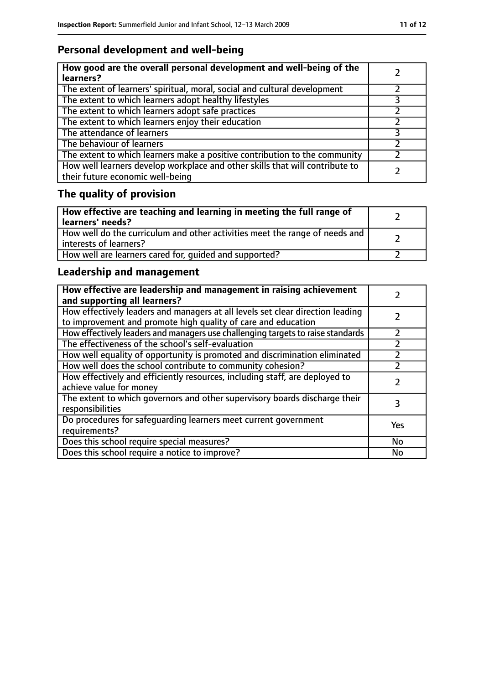# **Personal development and well-being**

| How good are the overall personal development and well-being of the<br>learners?                                 |  |
|------------------------------------------------------------------------------------------------------------------|--|
| The extent of learners' spiritual, moral, social and cultural development                                        |  |
| The extent to which learners adopt healthy lifestyles                                                            |  |
| The extent to which learners adopt safe practices                                                                |  |
| The extent to which learners enjoy their education                                                               |  |
| The attendance of learners                                                                                       |  |
| The behaviour of learners                                                                                        |  |
| The extent to which learners make a positive contribution to the community                                       |  |
| How well learners develop workplace and other skills that will contribute to<br>their future economic well-being |  |

# **The quality of provision**

| How effective are teaching and learning in meeting the full range of<br>learners' needs?              |  |
|-------------------------------------------------------------------------------------------------------|--|
| How well do the curriculum and other activities meet the range of needs and<br>interests of learners? |  |
| How well are learners cared for, quided and supported?                                                |  |

# **Leadership and management**

| How effective are leadership and management in raising achievement<br>and supporting all learners?                                              |           |
|-------------------------------------------------------------------------------------------------------------------------------------------------|-----------|
| How effectively leaders and managers at all levels set clear direction leading<br>to improvement and promote high quality of care and education |           |
| How effectively leaders and managers use challenging targets to raise standards                                                                 |           |
| The effectiveness of the school's self-evaluation                                                                                               |           |
| How well equality of opportunity is promoted and discrimination eliminated                                                                      |           |
| How well does the school contribute to community cohesion?                                                                                      |           |
| How effectively and efficiently resources, including staff, are deployed to<br>achieve value for money                                          |           |
| The extent to which governors and other supervisory boards discharge their<br>responsibilities                                                  | 3         |
| Do procedures for safequarding learners meet current government<br>requirements?                                                                | Yes       |
| Does this school require special measures?                                                                                                      | <b>No</b> |
| Does this school require a notice to improve?                                                                                                   | No        |